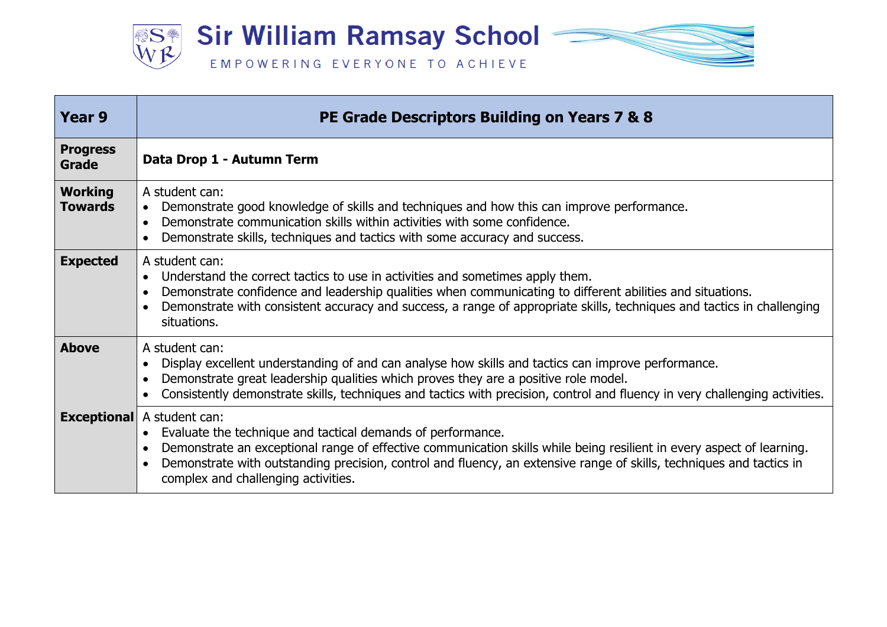

| Year 9                           | PE Grade Descriptors Building on Years 7 & 8                                                                                                                                                                                                                                                                                                                                             |
|----------------------------------|------------------------------------------------------------------------------------------------------------------------------------------------------------------------------------------------------------------------------------------------------------------------------------------------------------------------------------------------------------------------------------------|
| <b>Progress</b><br>Grade         | Data Drop 1 - Autumn Term                                                                                                                                                                                                                                                                                                                                                                |
| <b>Working</b><br><b>Towards</b> | A student can:<br>Demonstrate good knowledge of skills and techniques and how this can improve performance.<br>$\bullet$<br>Demonstrate communication skills within activities with some confidence.<br>$\bullet$<br>Demonstrate skills, techniques and tactics with some accuracy and success.                                                                                          |
| <b>Expected</b>                  | A student can:<br>Understand the correct tactics to use in activities and sometimes apply them.<br>Demonstrate confidence and leadership qualities when communicating to different abilities and situations.<br>Demonstrate with consistent accuracy and success, a range of appropriate skills, techniques and tactics in challenging<br>situations.                                    |
| <b>Above</b>                     | A student can:<br>Display excellent understanding of and can analyse how skills and tactics can improve performance.<br>Demonstrate great leadership qualities which proves they are a positive role model.<br>Consistently demonstrate skills, techniques and tactics with precision, control and fluency in very challenging activities.                                               |
|                                  | <b>Exceptional</b> A student can:<br>Evaluate the technique and tactical demands of performance.<br>Demonstrate an exceptional range of effective communication skills while being resilient in every aspect of learning.<br>Demonstrate with outstanding precision, control and fluency, an extensive range of skills, techniques and tactics in<br>complex and challenging activities. |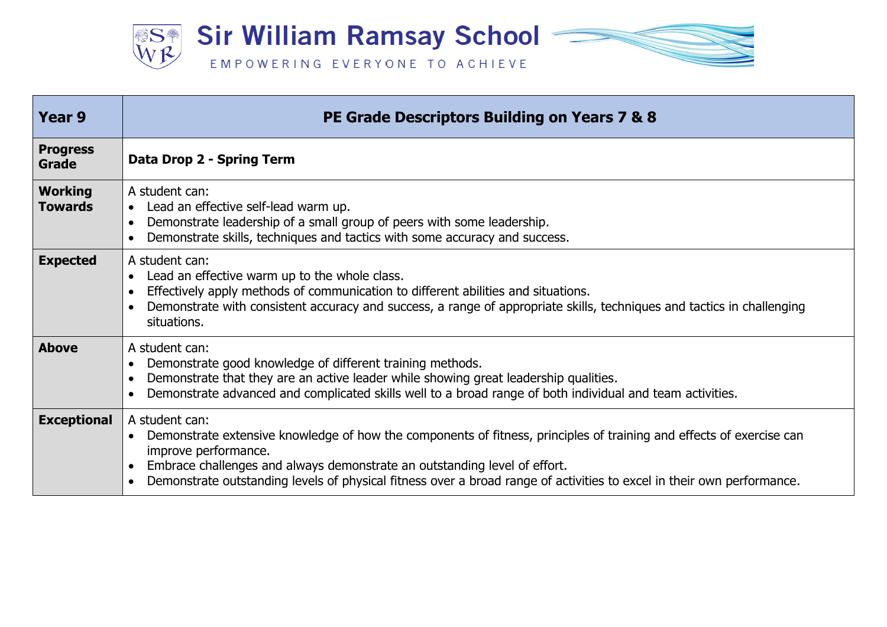

| <b>Year 9</b>                    | PE Grade Descriptors Building on Years 7 & 8                                                                                                                                                                                                                                                                                                                          |
|----------------------------------|-----------------------------------------------------------------------------------------------------------------------------------------------------------------------------------------------------------------------------------------------------------------------------------------------------------------------------------------------------------------------|
| <b>Progress</b><br>Grade         | Data Drop 2 - Spring Term                                                                                                                                                                                                                                                                                                                                             |
| <b>Working</b><br><b>Towards</b> | A student can:<br>• Lead an effective self-lead warm up.<br>Demonstrate leadership of a small group of peers with some leadership.<br>Demonstrate skills, techniques and tactics with some accuracy and success.                                                                                                                                                      |
| <b>Expected</b>                  | A student can:<br>Lead an effective warm up to the whole class.<br>Effectively apply methods of communication to different abilities and situations.<br>Demonstrate with consistent accuracy and success, a range of appropriate skills, techniques and tactics in challenging<br>situations.                                                                         |
| <b>Above</b>                     | A student can:<br>Demonstrate good knowledge of different training methods.<br>Demonstrate that they are an active leader while showing great leadership qualities.<br>Demonstrate advanced and complicated skills well to a broad range of both individual and team activities.                                                                                      |
| <b>Exceptional</b>               | A student can:<br>Demonstrate extensive knowledge of how the components of fitness, principles of training and effects of exercise can<br>improve performance.<br>Embrace challenges and always demonstrate an outstanding level of effort.<br>Demonstrate outstanding levels of physical fitness over a broad range of activities to excel in their own performance. |